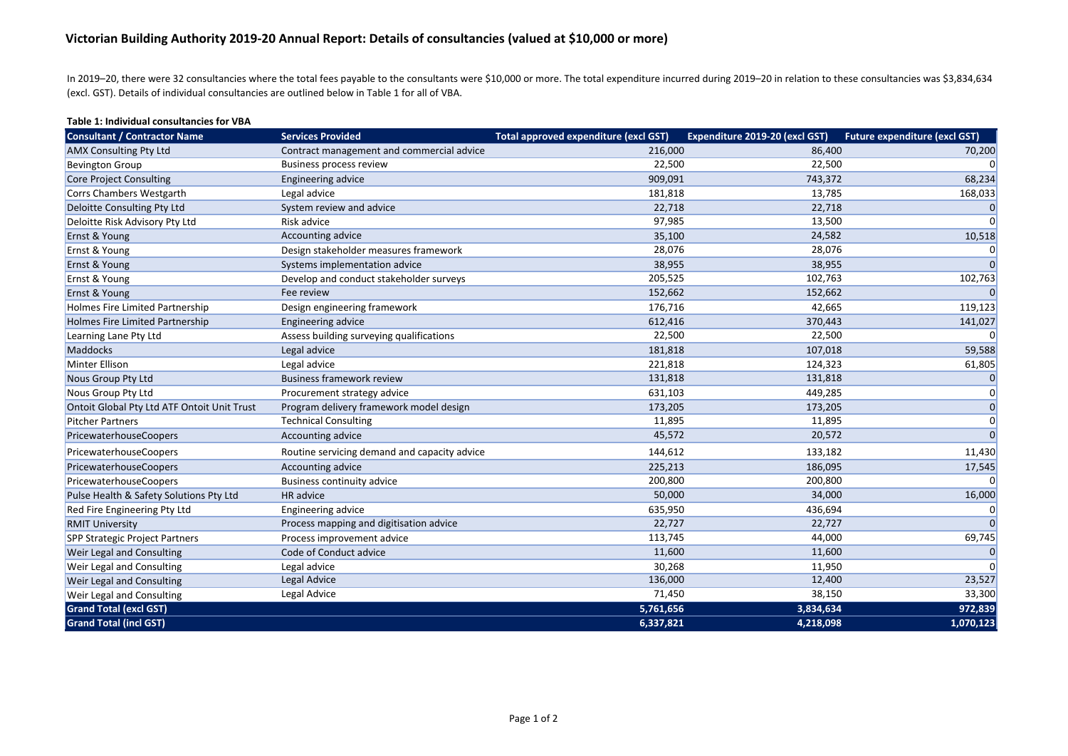# **Victorian Building Authority 2019‐20 Annual Report: Details of consultancies (valued at \$10,000 or more)**

In 2019–20, there were 32 consultancies where the total fees payable to the consultants were \$10,000 or more. The total expenditure incurred during 2019–20 in relation to these consultancies was \$3,834,634 (excl. GST). Details of individual consultancies are outlined below in Table 1 for all of VBA.

### **Table 1: Individual consultancies for VBA**

| <b>Consultant / Contractor Name</b>         | <b>Services Provided</b>                     | <b>Total approved expenditure (excl GST)</b> | Expenditure 2019-20 (excl GST) | <b>Future expenditure (excl GST)</b> |
|---------------------------------------------|----------------------------------------------|----------------------------------------------|--------------------------------|--------------------------------------|
| <b>AMX Consulting Pty Ltd</b>               | Contract management and commercial advice    | 216,000                                      | 86,400                         | 70,200                               |
| <b>Bevington Group</b>                      | <b>Business process review</b>               | 22,500                                       | 22,500                         | $\Omega$                             |
| <b>Core Project Consulting</b>              | Engineering advice                           | 909,091                                      | 743,372                        | 68,234                               |
| Corrs Chambers Westgarth                    | Legal advice                                 | 181,818                                      | 13,785                         | 168,033                              |
| Deloitte Consulting Pty Ltd                 | System review and advice                     | 22,718                                       | 22,718                         | $\Omega$                             |
| Deloitte Risk Advisory Pty Ltd              | Risk advice                                  | 97,985                                       | 13,500                         | 0                                    |
| Ernst & Young                               | Accounting advice                            | 35,100                                       | 24,582                         | 10,518                               |
| Ernst & Young                               | Design stakeholder measures framework        | 28,076                                       | 28,076                         | $\Omega$                             |
| Ernst & Young                               | Systems implementation advice                | 38,955                                       | 38,955                         | 0                                    |
| Ernst & Young                               | Develop and conduct stakeholder surveys      | 205,525                                      | 102,763                        | 102,763                              |
| Ernst & Young                               | Fee review                                   | 152,662                                      | 152,662                        | 0                                    |
| Holmes Fire Limited Partnership             | Design engineering framework                 | 176,716                                      | 42,665                         | 119,123                              |
| Holmes Fire Limited Partnership             | <b>Engineering advice</b>                    | 612,416                                      | 370,443                        | 141,027                              |
| Learning Lane Pty Ltd                       | Assess building surveying qualifications     | 22,500                                       | 22,500                         | $\Omega$                             |
| <b>Maddocks</b>                             | Legal advice                                 | 181,818                                      | 107,018                        | 59,588                               |
| Minter Ellison                              | Legal advice                                 | 221,818                                      | 124,323                        | 61,805                               |
| Nous Group Pty Ltd                          | <b>Business framework review</b>             | 131,818                                      | 131,818                        | 0                                    |
| Nous Group Pty Ltd                          | Procurement strategy advice                  | 631,103                                      | 449,285                        | 0                                    |
| Ontoit Global Pty Ltd ATF Ontoit Unit Trust | Program delivery framework model design      | 173,205                                      | 173,205                        | 0                                    |
| <b>Pitcher Partners</b>                     | <b>Technical Consulting</b>                  | 11,895                                       | 11,895                         | 0                                    |
| PricewaterhouseCoopers                      | Accounting advice                            | 45,572                                       | 20,572                         | 0                                    |
| <b>PricewaterhouseCoopers</b>               | Routine servicing demand and capacity advice | 144,612                                      | 133,182                        | 11,430                               |
| PricewaterhouseCoopers                      | Accounting advice                            | 225,213                                      | 186,095                        | 17,545                               |
| PricewaterhouseCoopers                      | Business continuity advice                   | 200,800                                      | 200,800                        | $\Omega$                             |
| Pulse Health & Safety Solutions Pty Ltd     | HR advice                                    | 50,000                                       | 34,000                         | 16,000                               |
| Red Fire Engineering Pty Ltd                | Engineering advice                           | 635,950                                      | 436,694                        | 0                                    |
| <b>RMIT University</b>                      | Process mapping and digitisation advice      | 22,727                                       | 22,727                         | $\Omega$                             |
| SPP Strategic Project Partners              | Process improvement advice                   | 113,745                                      | 44,000                         | 69,745                               |
| <b>Weir Legal and Consulting</b>            | Code of Conduct advice                       | 11,600                                       | 11,600                         | $\Omega$                             |
| Weir Legal and Consulting                   | Legal advice                                 | 30,268                                       | 11,950                         | 0                                    |
| <b>Weir Legal and Consulting</b>            | <b>Legal Advice</b>                          | 136,000                                      | 12,400                         | 23,527                               |
| Weir Legal and Consulting                   | Legal Advice                                 | 71,450                                       | 38,150                         | 33,300                               |
| <b>Grand Total (excl GST)</b>               |                                              | 5,761,656                                    | 3,834,634                      | 972,839                              |
| <b>Grand Total (incl GST)</b>               |                                              | 6,337,821                                    | 4,218,098                      | 1,070,123                            |